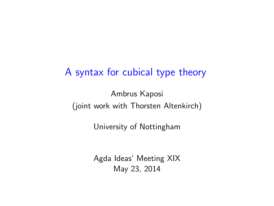### A syntax for cubical type theory

Ambrus Kaposi (joint work with Thorsten Altenkirch)

University of Nottingham

<span id="page-0-0"></span>Agda Ideas' Meeting XIX May 23, 2014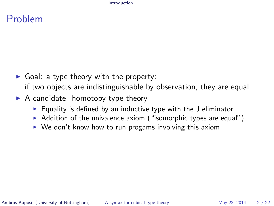#### <span id="page-1-0"></span>[Introduction](#page-1-0)

### Problem

- $\triangleright$  Goal: a type theory with the property: if two objects are indistinguishable by observation, they are equal
- $\triangleright$  A candidate: homotopy type theory
	- $\triangleright$  Equality is defined by an inductive type with the J eliminator
	- $\triangleright$  Addition of the univalence axiom ("isomorphic types are equal")
	- $\triangleright$  We don't know how to run progams involving this axiom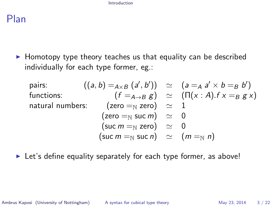[Introduction](#page-2-0)

### Plan

 $\blacktriangleright$  Homotopy type theory teaches us that equality can be described individually for each type former, eg.:

| pairs:                         | $((a, b) =_{A \times B} (a', b'))$ | $\simeq$               | $(a =_A a' \times b =_B b')$         |
|--------------------------------|------------------------------------|------------------------|--------------------------------------|
| functions:                     | $(f =_{A \to B} g)$                | $\simeq$               | $(\Pi(x : A).f \times =_B g \times)$ |
| natural numbers:               | $(zero =_{\mathbb{N}} zero)$       | $\simeq$               | $1$                                  |
| (zero =_{\mathbb{N}} succ m)   | $\simeq$                           | $0$                    |                                      |
| (succ m =_{\mathbb{N}} zero)   | $\simeq$                           | $0$                    |                                      |
| (succ m =_{\mathbb{N}} succ n) | $\simeq$                           | $(m =_{\mathbb{N}} n)$ |                                      |

 $\blacktriangleright$  Let's define equality separately for each type former, as above!

Ambrus Kaposi (University of Nottingham) [A syntax for cubical type theory](#page-0-0) May 23, 2014 3/22

<span id="page-2-0"></span>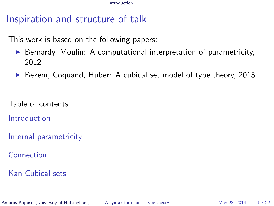[Introduction](#page-3-0)

# Inspiration and structure of talk

This work is based on the following papers:

- $\triangleright$  Bernardy, Moulin: A computational interpretation of parametricity, 2012
- ▶ Bezem, Coquand, Huber: A cubical set model of type theory, 2013

Table of contents:

[Introduction](#page-1-0)

[Internal parametricity](#page-4-0)

[Connection](#page-10-0)

[Kan Cubical sets](#page-14-0)

Ambrus Kaposi (University of Nottingham) [A syntax for cubical type theory](#page-0-0) May 23, 2014 4/22

<span id="page-3-0"></span>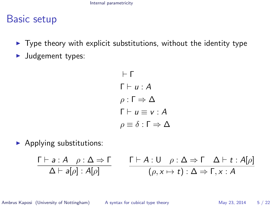### Basic setup

- $\triangleright$  Type theory with explicit substitutions, without the identity type
- $\blacktriangleright$  Judgement types:

<span id="page-4-0"></span> $-$  Γ  $\Gamma \vdash u : A$  $ρ: Γ ⇒ Δ$  $\Gamma \vdash u \equiv v : A$  $ρ \equiv δ : Γ \Rightarrow Δ$ 

 $\blacktriangleright$  Applying substitutions:

$$
\frac{\Gamma \vdash a:A \quad \rho : \Delta \Rightarrow \Gamma}{\Delta \vdash a[\rho]: A[\rho]} \qquad \frac{\Gamma \vdash A: \mathsf{U} \quad \rho : \Delta \Rightarrow \Gamma \quad \Delta \vdash t : A[\rho]}{(\rho, x \mapsto t) : \Delta \Rightarrow \Gamma, x : A}
$$

Ambrus Kaposi (University of Nottingham) [A syntax for cubical type theory](#page-0-0) May 23, 2014 5 / 22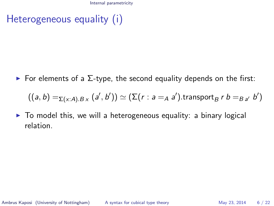Heterogeneous equality (i)

 $\triangleright$  For elements of a  $\Sigma$ -type, the second equality depends on the first:

<span id="page-5-0"></span>
$$
((a, b) =_{\Sigma(x:A).Bx} (a', b')) \simeq (\Sigma(r : a =_A a').\text{transport}_B r b =_{B a'} b')
$$

 $\triangleright$  To model this, we will a heterogeneous equality: a binary logical relation.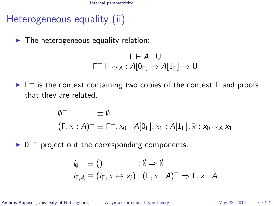# Heterogeneous equality (ii)

 $\blacktriangleright$  The heterogeneous equality relation:

$$
\dfrac{\Gamma\vdash A:U}{\Gamma\equiv\;\vdash\;\sim_A:A[0_\Gamma]\rightarrow A[1_\Gamma]\rightarrow U}
$$

 $\blacktriangleright$   $\Gamma$ <sup>=</sup> is the context containing two copies of the context  $\Gamma$  and proofs that they are related.

$$
\emptyset^= \equiv \emptyset
$$
  

$$
(\Gamma, x : A)^= \equiv \Gamma^=, x_0 : A[0_\Gamma], x_1 : A[1_\Gamma], \overline{x} : x_0 \sim_A x_1
$$

 $\triangleright$  0, 1 project out the corresponding components.

$$
i_{\emptyset} \equiv () \qquad : \emptyset \Rightarrow \emptyset
$$
  

$$
i_{\Gamma,A} \equiv (i_{\Gamma}, x \mapsto x_i) : (\Gamma, x : A)^{=} \Rightarrow \Gamma, x : A
$$

Ambrus Kaposi (University of Nottingham) [A syntax for cubical type theory](#page-0-0) May 23, 2014 7 / 22

<span id="page-6-0"></span>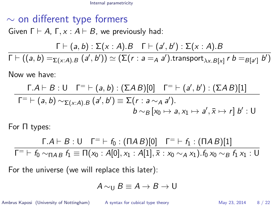# $\sim$  on different type formers Given  $\Gamma \vdash A$ ,  $\Gamma, x : A \vdash B$ , we previously had:  $\Gamma \vdash (a, b) : \Sigma(x : A).B \quad \Gamma \vdash (a', b') : \Sigma(x : A).B$  $\Gamma \vdash ((a,b)=_{\Sigma (x:A).B}(a',b')) \simeq (\Sigma (r:a=_A a').\text{transport}_{\lambda x.B[x]} \ r\ b=_ {B[a'] } \ b')$

Now we have:

$$
\frac{\Gamma.A \vdash B : \bigcup \Gamma^= \vdash (a, b) : (\Sigma AB)[0]}{\Gamma^= \vdash (a, b) \sim_{\Sigma(x:A).B} (a', b') \equiv \Sigma(r : a \sim_A a').}
$$
\n
$$
b \sim_B [x_0 \mapsto a, x_1 \mapsto a', \overline{x} \mapsto r] b' : \bigcup
$$

For Π types:

$$
\frac{\Gamma.A \vdash B : \bigcup \Gamma = \vdash f_0 : (\Pi AB)[0]}{\Gamma = \vdash f_0 \sim_{\Pi AB} f_1 \equiv \Pi(x_0 : A[0], x_1 : A[1], \overline{x} : x_0 \sim_A x_1).f_0 x_0 \sim_B f_1 x_1 : U}
$$

For the universe (we will replace this later):

$$
A\sim_{\mathsf{U}} B\equiv A\rightarrow B\rightarrow\mathsf{U}
$$

Ambrus Kaposi (University of Nottingham) [A syntax for cubical type theory](#page-0-0) May 23, 2014 8 / 22

<span id="page-7-0"></span>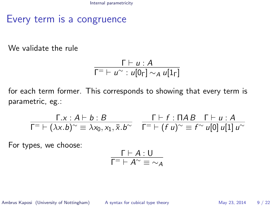### Every term is a congruence

We validate the rule

$$
\frac{\Gamma \vdash u : A}{\Gamma^= \vdash u^{\sim} : u[0_{\Gamma}] \sim_A u[1_{\Gamma}]}
$$

for each term former. This corresponds to showing that every term is parametric, eg.:

$$
\frac{\Gamma.x : A \vdash b : B}{\Gamma^{-} \vdash (\lambda x.b)^{\sim} \equiv \lambda x_0, x_1, \bar{x}.b^{\sim}} \quad \frac{\Gamma \vdash f : \Pi AB \quad \Gamma \vdash u : A}{\Gamma^{-} \vdash (f \ u)^{\sim} \equiv f^{\sim} u[0] \ u[1] \ u^{\sim}}
$$

For types, we choose:

$$
\frac{\Gamma \vdash A : \mathsf{U}}{\Gamma^= \vdash A^{\sim} \equiv \sim_A}
$$

Ambrus Kaposi (University of Nottingham) [A syntax for cubical type theory](#page-0-0) May 23, 2014 9 / 22

<span id="page-8-0"></span>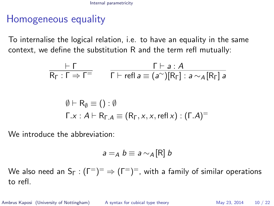## Homogeneous equality

To internalise the logical relation, i.e. to have an equality in the same context, we define the substitution R and the term refl mutually:

$$
\frac{\vdash \Gamma}{\mathsf{R}_{\Gamma} : \Gamma \Rightarrow \Gamma^{=}} \qquad \frac{\Gamma \vdash a : A}{\Gamma \vdash \text{refl } a \equiv (a^{\sim})[\mathsf{R}_{\Gamma}] : a \sim_{A}[\mathsf{R}_{\Gamma}] a}
$$

$$
\emptyset \vdash R_{\emptyset} \equiv () : \emptyset
$$
  
\n
$$
\Gamma.x : A \vdash R_{\Gamma.A} \equiv (R_{\Gamma}, x, x, \text{refl } x) : (\Gamma.A)^{=}
$$

We introduce the abbreviation:

$$
a =_A b \equiv a \sim_A [R] b
$$

We also need an S<sub>Г</sub> : (Г $^{-})^=\Rightarrow$  (Г $^{-})^=$ , with a family of similar operations to refl.

Ambrus Kaposi (University of Nottingham) [A syntax for cubical type theory](#page-0-0) May 23, 2014 10 / 22

<span id="page-9-0"></span>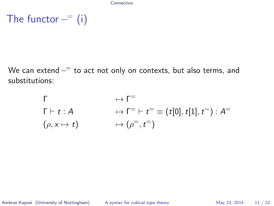The functor  $-$  (i)

We can extend  $-$  to act not only on contexts, but also terms, and substitutions:

$$
\begin{array}{ll}\n\Gamma & \mapsto \Gamma^= \\
\Gamma \vdash t : A & \mapsto \Gamma^= \vdash t^= \equiv (t[0], t[1], t^{\sim}) : A^= \\
(\rho, x \mapsto t) & \mapsto (\rho^=, t^=)\n\end{array}
$$

Ambrus Kaposi (University of Nottingham) [A syntax for cubical type theory](#page-0-0) May 23, 2014 11 / 22

<span id="page-10-0"></span>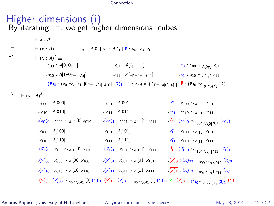#### [Connection](#page-11-0)

|                                                                                                                                                                                                                                                        | Higher dimensions (i)<br>By iterating $-\overline{ }$ , we get higher dimensional cubes:                                                                                                                                                                    |                                                                              |                                                                                                |  |
|--------------------------------------------------------------------------------------------------------------------------------------------------------------------------------------------------------------------------------------------------------|-------------------------------------------------------------------------------------------------------------------------------------------------------------------------------------------------------------------------------------------------------------|------------------------------------------------------------------------------|------------------------------------------------------------------------------------------------|--|
| $\Gamma$                                                                                                                                                                                                                                               | $\vdash x:A$                                                                                                                                                                                                                                                |                                                                              |                                                                                                |  |
| $\Gamma$ <sup>=</sup>                                                                                                                                                                                                                                  | $\vdash (x : A)^{1} \equiv$                                                                                                                                                                                                                                 | $x_0$ : $A[0_\Gamma]$ . $x_1$ : $A[1_\Gamma]$ . $\bar{x}$ : $x_0 \sim_A x_1$ |                                                                                                |  |
| $\Gamma^2$                                                                                                                                                                                                                                             | $\vdash (x : A)^2 \equiv$                                                                                                                                                                                                                                   |                                                                              |                                                                                                |  |
|                                                                                                                                                                                                                                                        | $x_{00}$ : $A[0,\,0,\,=]$                                                                                                                                                                                                                                   | $x_{01}$ : $A[0 \mid 1 \mid =]$                                              | $\bar{x_0}$ : $x_{00} \sim A[0_{\Gamma}]$ $x_{01}$                                             |  |
|                                                                                                                                                                                                                                                        | $x_{10}$ : $A[1_{\Gamma}0_{\Gamma} = A[0]]$                                                                                                                                                                                                                 | $x_{11}$ : $A[1_{\Gamma}1_{\Gamma^= . A[0]}]$                                | $x_1 : x_{10} \sim_{A[1_{\Gamma}]} x_{11}$                                                     |  |
|                                                                                                                                                                                                                                                        | $(\bar{x})_0$ : $(x_0 \sim_A x_1)[0_{\bar{r}} = A_{0} \cup A_{1} \cup \cdots \cup A_{n-1}] \cdot (\bar{x})_1$ : $(x_0 \sim_A x_1)[1_{\bar{r}} = A_{0} \cup A_{1} \cup \cdots \cup A_{n-1}] \cdot \bar{x}$ : $(\bar{x})_0 \sim_{x_0 \sim_A x_1} (\bar{x})_1$ |                                                                              |                                                                                                |  |
| $r^3$                                                                                                                                                                                                                                                  | $\vdash (x : A)^3 \equiv$                                                                                                                                                                                                                                   |                                                                              |                                                                                                |  |
|                                                                                                                                                                                                                                                        | $x_{000}$ : A[000]                                                                                                                                                                                                                                          | $.x_{001} : A[001]$                                                          | $\cdot$ x <sub>00</sub> : x <sub>000</sub> $\sim$ <sub>A[00]</sub> x <sub>001</sub>            |  |
|                                                                                                                                                                                                                                                        | $.x_{010} : A[010]$                                                                                                                                                                                                                                         | $.x_{011} : A[011]$                                                          | $\cdot x_{01}$ : $x_{010} \sim_{A[01]} x_{011}$                                                |  |
|                                                                                                                                                                                                                                                        | $(x_0)_0$ : $x_{000} \sim_{A[0]} [0] x_{010}$                                                                                                                                                                                                               | $(\bar{x_0})_1$ : $x_{001} \sim_{A[0]} [1] x_{011}$                          | $\cdot \bar{x_0}$ : $(\bar{x_0})_0 \sim_{x_{00} \sim A[0]^x 01} (\bar{x_0})_1$                 |  |
|                                                                                                                                                                                                                                                        | $.x_{100} : A[100]$                                                                                                                                                                                                                                         | $.x_{101} : A[101]$                                                          | $x_{10}$ : $x_{100} \sim_{A[10]} x_{101}$                                                      |  |
|                                                                                                                                                                                                                                                        | $.x_{110} : A[110]$                                                                                                                                                                                                                                         | $.x_{111} : A[111]$                                                          | $x_{11}$ : $x_{110} \sim_{A[11]} x_{111}$                                                      |  |
|                                                                                                                                                                                                                                                        | $(x_1)_0$ : $x_{100} \sim_{A[1]} [0] x_{110}$                                                                                                                                                                                                               | $\sqrt{(x_1)_1}$ : $x_{101} \sim_{A[1]} [1] x_{111}$                         | $\overline{x}_1 : (\overline{x}_1)_0 \sim_{x_{10} \sim A[1]^{\times}11} (\overline{x}_1)_1$    |  |
|                                                                                                                                                                                                                                                        | $(\bar{x})_{00}$ : $x_{000} \sim_A [00] x_{100}$                                                                                                                                                                                                            | $(\bar{x})_{01}$ : $x_{001} \sim_A [01] x_{101}$                             | $\cdot \overline{(\bar{x})_0}$ : $(\bar{x})_{00} \sim_{x_{00} \sim A[0]x_{10}} (\bar{x})_{01}$ |  |
|                                                                                                                                                                                                                                                        | $(\bar{x})_{10}$ : $x_{010} \sim_A [10] x_{110}$                                                                                                                                                                                                            | $(\bar{x})_{11}$ : $x_{011} \sim_A [11] x_{111}$                             | $\sqrt{(\bar{x})_1}$ : $(\bar{x})_{10} \sim_{x_{01} \sim A^{[1]}x_{11}} (\bar{x})_{11}$        |  |
| $.(\bar{\bar{x}})_0:(\bar{x})_{00}\sim_{x_0\sim_A x_1}[0](\bar{x})_{10}.(\bar{\bar{x}})_1:(\bar{x})_{01}\sim_{x_0\sim_A x_1}[1](\bar{x})_{11}.\bar{\bar{\bar{x}}}:(\bar{\bar{x}})_0\sim_{(\bar{x})_0\sim_{x_0\sim_A x_1}(\bar{x})_1}(\bar{\bar{x}})_1$ |                                                                                                                                                                                                                                                             |                                                                              |                                                                                                |  |

Ambrus Kaposi (University of Nottingham) [A syntax for cubical type theory](#page-0-0) May 23, 2014 12 / 22

<span id="page-11-0"></span>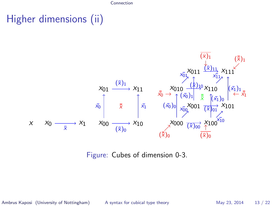[Connection](#page-12-0)

# Higher dimensions (ii)



Figure: Cubes of dimension 0-3.

Ambrus Kaposi (University of Nottingham) [A syntax for cubical type theory](#page-0-0) May 23, 2014 13 / 22

<span id="page-12-0"></span>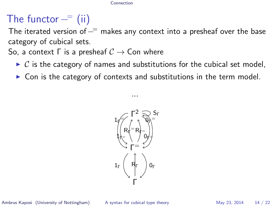#### [Connection](#page-13-0)

# The functor  $-$  (ii)

The iterated version of  $-$  makes any context into a presheaf over the base category of cubical sets.

So, a context  $\Gamma$  is a presheaf  $\mathcal{C} \rightarrow$  Con where

- $\triangleright$  C is the category of names and substitutions for the cubical set model,
- $\triangleright$  Con is the category of contexts and substitutions in the term model.

<span id="page-13-0"></span>...

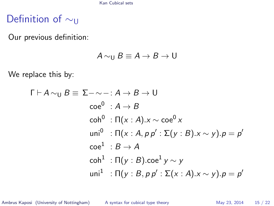[Kan Cubical sets](#page-14-0)

## Definition of ∼u

Our previous definition:

$$
A \sim_{\mathsf{U}} B \equiv A \rightarrow B \rightarrow \mathsf{U}
$$

We replace this by:

$$
\Gamma \vdash A \sim_{\mathsf{U}} B \equiv \Sigma \neg \sim \neg : A \rightarrow B \rightarrow \mathsf{U}
$$
  
\n
$$
\operatorname{ce}^{0} : A \rightarrow B
$$
  
\n
$$
\operatorname{coh}^{0} : \Pi(x : A).x \sim \operatorname{ce}^{0} x
$$
  
\n
$$
\operatorname{uni}^{0} : \Pi(x : A, p p' : \Sigma(y : B).x \sim y).p = p'
$$
  
\n
$$
\operatorname{ce}^{1} : B \rightarrow A
$$
  
\n
$$
\operatorname{coh}^{1} : \Pi(y : B). \operatorname{ce}^{1} y \sim y
$$
  
\n
$$
\operatorname{uni}^{1} : \Pi(y : B, p p' : \Sigma(x : A).x \sim y).p = p'
$$

Ambrus Kaposi (University of Nottingham) [A syntax for cubical type theory](#page-0-0) May 23, 2014 15 / 22

<span id="page-14-0"></span>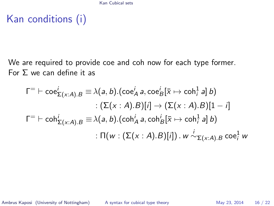Kan conditions (i)

We are required to provide coe and coh now for each type former. For  $Σ$  we can define it as

$$
\Gamma^= \vdash \text{coe}_{\Sigma(x:A).B}^i \equiv \lambda(a, b).(\text{coe}_A^i a, \text{coe}_B^i[\bar{x} \mapsto \text{coh}_i^1 a] b)
$$
  
:( $\Sigma(x:A).B)[i] \rightarrow (\Sigma(x:A).B)[1-i]$   

$$
\Gamma^= \vdash \text{coh}_{\Sigma(x:A).B}^i \equiv \lambda(a, b).(\text{coh}_A^i a, \text{coh}_B^i[\bar{x} \mapsto \text{coh}_i^1 a] b)
$$
  
:: $\Pi(w : (\Sigma(x:A).B)[i]) . w \stackrel{i}{\sim}_{\Sigma(x:A).B} \text{coe}_i^1 w$ 

Ambrus Kaposi (University of Nottingham) [A syntax for cubical type theory](#page-0-0) May 23, 2014 16 / 22

<span id="page-15-0"></span>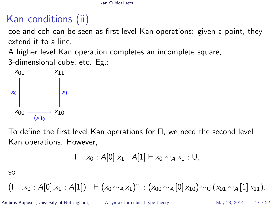# Kan conditions (ii)

coe and coh can be seen as first level Kan operations: given a point, they extend it to a line.

A higher level Kan operation completes an incomplete square,

3-dimensional cube, etc. Eg.:



To define the first level Kan operations for Π, we need the second level Kan operations. However,

$$
\Gamma^{-}.x_0 : A[0].x_1 : A[1] \vdash x_0 \sim_A x_1 : U,
$$

so

$$
(\Gamma^{-}.x_0:A[0].x_1:A[1])^{=}\vdash (x_0\sim_A x_1)^{\sim}:(x_{00}\sim_A [0]x_{10})\sim_U (x_{01}\sim_A [1]x_{11}).
$$

Ambrus Kaposi (University of Nottingham) [A syntax for cubical type theory](#page-0-0) May 23, 2014 17 / 22

<span id="page-16-0"></span>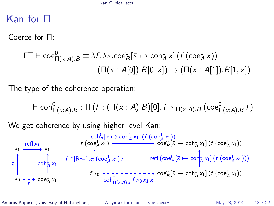## Kan for Π

Coerce for Π:

$$
\Gamma^= \vdash \text{coe}_{\Pi(x:A).B}^0 \equiv \lambda f.\lambda x.\text{coe}_B^0[\bar{x} \mapsto \text{coh}_A^1 x] (f (\text{coe}_A^1 x)) \\ : (\Pi(x:A[0]).B[0,x]) \rightarrow (\Pi(x:A[1]).B[1,x])
$$

The type of the coherence operation:

$$
\Gamma^= \vdash \mathsf{coh}^0_{\Pi(x:A).B} : \Pi\left(f : (\Pi(x:A).B)[0]\right. f \sim_{\Pi(x:A).B} (\mathsf{coe}^0_{\Pi(x:A).B} f)
$$

We get coherence by using higher level Kan:

x0 x1 coe<sup>1</sup> A x1 x1 x¯ coh<sup>1</sup> A x1 refl x<sup>1</sup> r f x<sup>0</sup> f (coe<sup>1</sup> A x1) coe<sup>0</sup> B [¯x 7→ coh<sup>1</sup> A x1] (f (coe<sup>1</sup> A x1)) coe<sup>0</sup> B [¯x 7→ coh<sup>1</sup> A x1] (f (coe<sup>1</sup> A x1)) f <sup>∼</sup>[RΓ<sup>=</sup> ] x<sup>0</sup> (coe<sup>1</sup> A x1) r refl (coe<sup>0</sup> B [¯x 7→ coh<sup>1</sup> A x1] (f (coe<sup>1</sup> A x1))) coh<sup>0</sup> B [¯x 7→ coh<sup>1</sup> A x1] (f (coe<sup>1</sup> A x1)) coh<sup>0</sup> Π(x:A)B f x<sup>0</sup> x<sup>1</sup> x¯

Ambrus Kaposi (University of Nottingham) [A syntax for cubical type theory](#page-0-0) May 23, 2014 18 / 22

<span id="page-17-0"></span>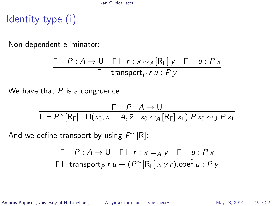[Kan Cubical sets](#page-18-0)

# Identity type (i)

Non-dependent eliminator:

$$
\frac{\Gamma \vdash P : A \to U \quad \Gamma \vdash r : x \sim_A [R_{\Gamma}] \, y \quad \Gamma \vdash u : P \, x}{\Gamma \vdash transport_P \, r \, u : P \, y}
$$

We have that  $P$  is a congruence:

$$
\frac{\Gamma \vdash P : A \rightarrow U}{\Gamma \vdash P^{\sim}[\mathsf{R}_{\Gamma}] : \Pi(x_0, x_1 : A, \overline{x} : x_0 \sim_A [\mathsf{R}_{\Gamma}] x_1). P x_0 \sim_U P x_1}
$$

And we define transport by using  $P^{\sim}[R]$ :

$$
\frac{\Gamma \vdash P : A \to U \quad \Gamma \vdash r : x =_A y \quad \Gamma \vdash u : P \times}{\Gamma \vdash \text{transport}_P \ r \ u \equiv (P^\sim [\mathsf{R}_{\Gamma}] \times y \ r) \text{.coe}^0 u : P \ y}
$$

Ambrus Kaposi (University of Nottingham) [A syntax for cubical type theory](#page-0-0) May 23, 2014 19 / 22

<span id="page-18-0"></span>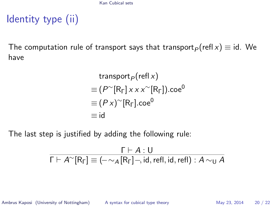# Identity type (ii)

The computation rule of transport says that transport<sub> $P$ </sub>(refl x)  $\equiv$  id. We have

$$
\begin{aligned}\n&\text{transport}_P(\text{refl } x) \\
&\equiv (P^{\sim}[R_{\Gamma}] \times x \times \sim[R_{\Gamma}]).\text{coe}^0 \\
&\equiv (P \times )^{\sim}[R_{\Gamma}].\text{coe}^0 \\
&\equiv \text{id}\n\end{aligned}
$$

The last step is justified by adding the following rule:

$$
\dfrac{\Gamma\vdash A:U}{\Gamma\vdash A^\sim[\mathsf{R}_\Gamma]\equiv(-\sim_A[\mathsf{R}_\Gamma]\neg,\mathsf{id},\mathsf{refl},\mathsf{id},\mathsf{refl}):A\sim_U A}
$$

Ambrus Kaposi (University of Nottingham) [A syntax for cubical type theory](#page-0-0) May 23, 2014 20 / 22

<span id="page-19-0"></span>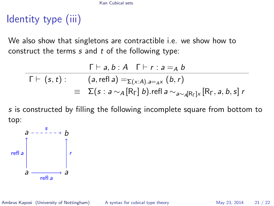#### [Kan Cubical sets](#page-20-0)

# Identity type (iii)

٠

We also show that singletons are contractible i.e. we show how to construct the terms  $s$  and  $t$  of the following type:

$$
\begin{array}{rcl}\n\Gamma \vdash a, b : A \quad \Gamma \vdash r : a =_A b \\
\overline{\Gamma \vdash (s, t)} : & (a, \text{refl } a) =_{\Sigma(x:A).a} =_{A} x (b, r) \\
\equiv & \Sigma(s : a \sim_A [\mathsf{R}_{\Gamma}] b). \text{refl } a \sim_{a \sim_A [\mathsf{R}_{\Gamma}] \times} [\mathsf{R}_{\Gamma}, a, b, s] r\n\end{array}
$$

s is constructed by filling the following incomplete square from bottom to top:



Ambrus Kaposi (University of Nottingham) [A syntax for cubical type theory](#page-0-0) May 23, 2014 21 / 22

<span id="page-20-0"></span>